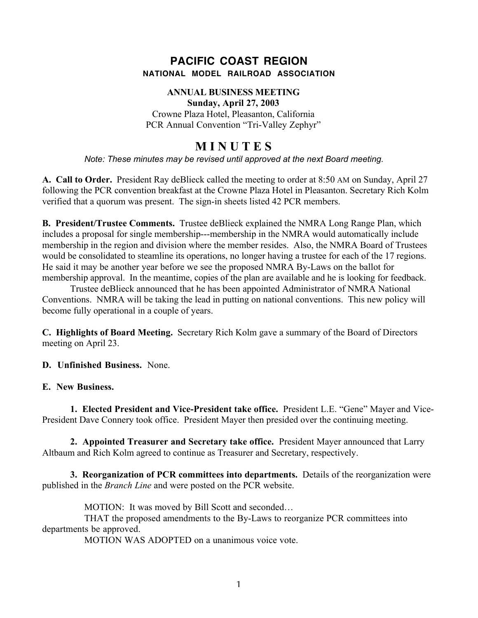## **PACIFIC COAST REGION NATIONAL MODEL RAILROAD ASSOCIATION**

## **ANNUAL BUSINESS MEETING Sunday, April 27, 2003**

Crowne Plaza Hotel, Pleasanton, California PCR Annual Convention "Tri-Valley Zephyr"

## **M I N U T E S**

*Note: These minutes may be revised until approved at the next Board meeting.*

**A. Call to Order.** President Ray deBlieck called the meeting to order at 8:50 AM on Sunday, April 27 following the PCR convention breakfast at the Crowne Plaza Hotel in Pleasanton. Secretary Rich Kolm verified that a quorum was present. The sign-in sheets listed 42 PCR members.

**B. President/Trustee Comments.** Trustee deBlieck explained the NMRA Long Range Plan, which includes a proposal for single membership---membership in the NMRA would automatically include membership in the region and division where the member resides. Also, the NMRA Board of Trustees would be consolidated to steamline its operations, no longer having a trustee for each of the 17 regions. He said it may be another year before we see the proposed NMRA By-Laws on the ballot for membership approval. In the meantime, copies of the plan are available and he is looking for feedback.

Trustee deBlieck announced that he has been appointed Administrator of NMRA National Conventions. NMRA will be taking the lead in putting on national conventions. This new policy will become fully operational in a couple of years.

**C. Highlights of Board Meeting.** Secretary Rich Kolm gave a summary of the Board of Directors meeting on April 23.

**D. Unfinished Business.** None.

**E. New Business.**

**1. Elected President and Vice-President take office.** President L.E. "Gene" Mayer and Vice-President Dave Connery took office. President Mayer then presided over the continuing meeting.

**2. Appointed Treasurer and Secretary take office.** President Mayer announced that Larry Altbaum and Rich Kolm agreed to continue as Treasurer and Secretary, respectively.

**3. Reorganization of PCR committees into departments.** Details of the reorganization were published in the *Branch Line* and were posted on the PCR website.

MOTION: It was moved by Bill Scott and seconded…

THAT the proposed amendments to the By-Laws to reorganize PCR committees into departments be approved.

MOTION WAS ADOPTED on a unanimous voice vote.